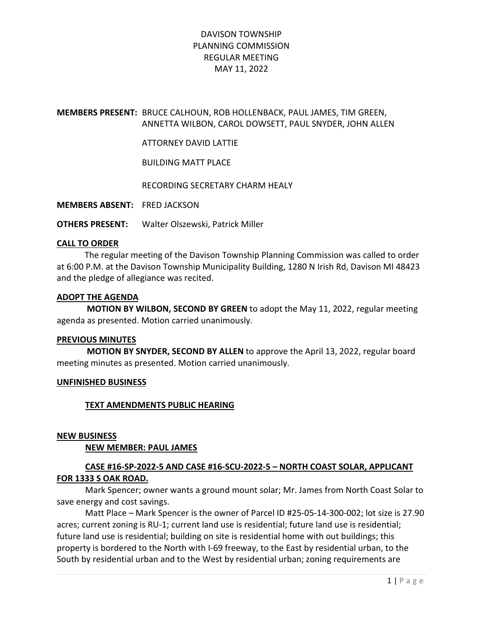## MEMBERS PRESENT: BRUCE CALHOUN, ROB HOLLENBACK, PAUL JAMES, TIM GREEN, ANNETTA WILBON, CAROL DOWSETT, PAUL SNYDER, JOHN ALLEN

### ATTORNEY DAVID LATTIE

BUILDING MATT PLACE

RECORDING SECRETARY CHARM HEALY

MEMBERS ABSENT: FRED JACKSON

OTHERS PRESENT: Walter Olszewski, Patrick Miller

### CALL TO ORDER

 The regular meeting of the Davison Township Planning Commission was called to order at 6:00 P.M. at the Davison Township Municipality Building, 1280 N Irish Rd, Davison MI 48423 and the pledge of allegiance was recited.

### ADOPT THE AGENDA

 MOTION BY WILBON, SECOND BY GREEN to adopt the May 11, 2022, regular meeting agenda as presented. Motion carried unanimously.

### PREVIOUS MINUTES

 MOTION BY SNYDER, SECOND BY ALLEN to approve the April 13, 2022, regular board meeting minutes as presented. Motion carried unanimously.

### UNFINISHED BUSINESS

## TEXT AMENDMENTS PUBLIC HEARING

### NEW BUSINESS

### NEW MEMBER: PAUL JAMES

## CASE #16-SP-2022-5 AND CASE #16-SCU-2022-5 – NORTH COAST SOLAR, APPLICANT FOR 1333 S OAK ROAD.

Mark Spencer; owner wants a ground mount solar; Mr. James from North Coast Solar to save energy and cost savings.

Matt Place – Mark Spencer is the owner of Parcel ID #25-05-14-300-002; lot size is 27.90 acres; current zoning is RU-1; current land use is residential; future land use is residential; future land use is residential; building on site is residential home with out buildings; this property is bordered to the North with I-69 freeway, to the East by residential urban, to the South by residential urban and to the West by residential urban; zoning requirements are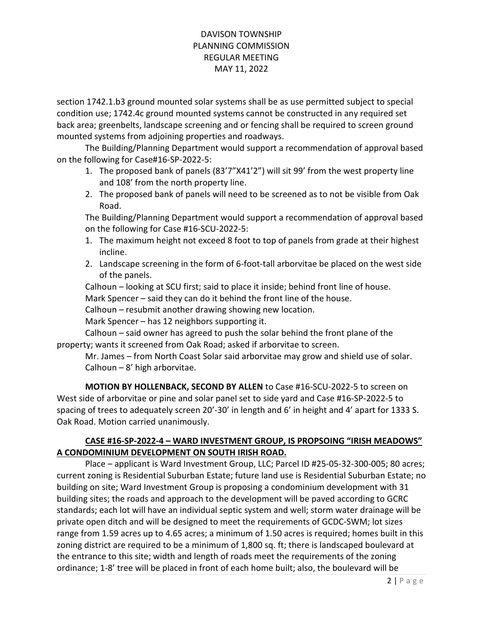section 1742.1.b3 ground mounted solar systems shall be as use permitted subject to special condition use; 1742.4c ground mounted systems cannot be constructed in any required set back area; greenbelts, landscape screening and or fencing shall be required to screen ground mounted systems from adjoining properties and roadways.

The Building/Planning Department would support a recommendation of approval based on the following for Case#16-SP-2022-5:

- 1. The proposed bank of panels (83'7"X41'2") will sit 99' from the west property line and 108' from the north property line.
- 2. The proposed bank of panels will need to be screened as to not be visible from Oak Road.

The Building/Planning Department would support a recommendation of approval based on the following for Case #16-SCU-2022-5:

- 1. The maximum height not exceed 8 foot to top of panels from grade at their highest incline.
- 2. Landscape screening in the form of 6-foot-tall arborvitae be placed on the west side of the panels.

Calhoun – looking at SCU first; said to place it inside; behind front line of house. Mark Spencer – said they can do it behind the front line of the house.

Calhoun – resubmit another drawing showing new location.

Mark Spencer – has 12 neighbors supporting it.

Calhoun – said owner has agreed to push the solar behind the front plane of the property; wants it screened from Oak Road; asked if arborvitae to screen.

Mr. James – from North Coast Solar said arborvitae may grow and shield use of solar. Calhoun – 8' high arborvitae.

MOTION BY HOLLENBACK, SECOND BY ALLEN to Case #16-SCU-2022-5 to screen on West side of arborvitae or pine and solar panel set to side yard and Case #16-SP-2022-5 to spacing of trees to adequately screen 20'-30' in length and 6' in height and 4' apart for 1333 S. Oak Road. Motion carried unanimously.

# CASE #16-SP-2022-4 – WARD INVESTMENT GROUP, IS PROPSOING "IRISH MEADOWS" A CONDOMINIUM DEVELOPMENT ON SOUTH IRISH ROAD.

 Place – applicant is Ward Investment Group, LLC; Parcel ID #25-05-32-300-005; 80 acres; current zoning is Residential Suburban Estate; future land use is Residential Suburban Estate; no building on site; Ward Investment Group is proposing a condominium development with 31 building sites; the roads and approach to the development will be paved according to GCRC standards; each lot will have an individual septic system and well; storm water drainage will be private open ditch and will be designed to meet the requirements of GCDC-SWM; lot sizes range from 1.59 acres up to 4.65 acres; a minimum of 1.50 acres is required; homes built in this zoning district are required to be a minimum of 1,800 sq. ft; there is landscaped boulevard at the entrance to this site; width and length of roads meet the requirements of the zoning ordinance; 1-8' tree will be placed in front of each home built; also, the boulevard will be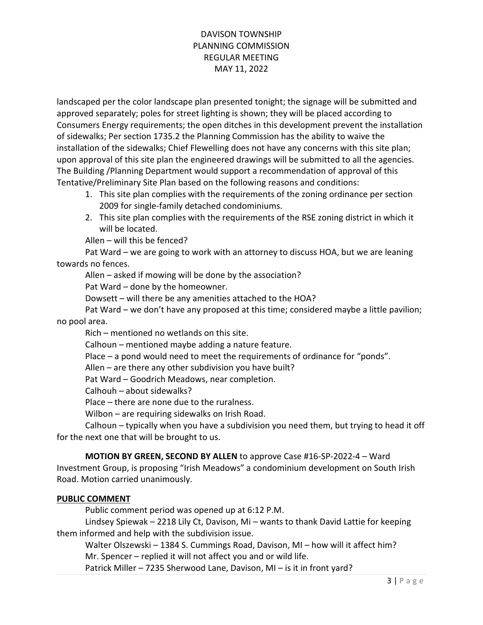landscaped per the color landscape plan presented tonight; the signage will be submitted and approved separately; poles for street lighting is shown; they will be placed according to Consumers Energy requirements; the open ditches in this development prevent the installation of sidewalks; Per section 1735.2 the Planning Commission has the ability to waive the installation of the sidewalks; Chief Flewelling does not have any concerns with this site plan; upon approval of this site plan the engineered drawings will be submitted to all the agencies. The Building /Planning Department would support a recommendation of approval of this Tentative/Preliminary Site Plan based on the following reasons and conditions:

- 1. This site plan complies with the requirements of the zoning ordinance per section 2009 for single-family detached condominiums.
- 2. This site plan complies with the requirements of the RSE zoning district in which it will be located.

Allen – will this be fenced?

Pat Ward – we are going to work with an attorney to discuss HOA, but we are leaning towards no fences.

Allen – asked if mowing will be done by the association?

Pat Ward – done by the homeowner.

Dowsett – will there be any amenities attached to the HOA?

Pat Ward – we don't have any proposed at this time; considered maybe a little pavilion; no pool area.

Rich – mentioned no wetlands on this site.

Calhoun – mentioned maybe adding a nature feature.

Place – a pond would need to meet the requirements of ordinance for "ponds".

Allen – are there any other subdivision you have built?

Pat Ward – Goodrich Meadows, near completion.

Calhouh – about sidewalks?

Place – there are none due to the ruralness.

Wilbon – are requiring sidewalks on Irish Road.

Calhoun – typically when you have a subdivision you need them, but trying to head it off for the next one that will be brought to us.

## MOTION BY GREEN, SECOND BY ALLEN to approve Case #16-SP-2022-4 – Ward

Investment Group, is proposing "Irish Meadows" a condominium development on South Irish Road. Motion carried unanimously.

## PUBLIC COMMENT

Public comment period was opened up at 6:12 P.M.

Lindsey Spiewak – 2218 Lily Ct, Davison, Mi – wants to thank David Lattie for keeping them informed and help with the subdivision issue.

Walter Olszewski – 1384 S. Cummings Road, Davison, MI – how will it affect him? Mr. Spencer – replied it will not affect you and or wild life.

Patrick Miller – 7235 Sherwood Lane, Davison, MI – is it in front yard?